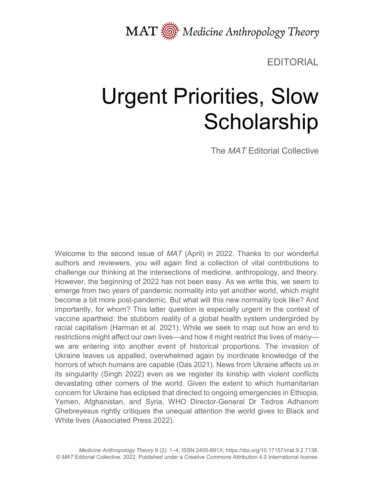MAT  $\overline{\text{M}}$  Medicine Anthropology Theory

EDITORIAL

## Urgent Priorities, Slow **Scholarship**

The *MAT* Editorial Collective

Welcome to the second issue of *MAT* (April) in 2022. Thanks to our wonderful authors and reviewers, you will again find a collection of vital contributions to challenge our thinking at the intersections of medicine, anthropology, and theory. However, the beginning of 2022 has not been easy. As we write this, we seem to emerge from two years of pandemic normality into yet another world, which might become a bit more post-pandemic. But what will this new normality look like? And importantly, for whom? This latter question is especially urgent in the context of vaccine apartheid: the stubborn reality of a global health system undergirded by racial capitalism (Harman et al. 2021). While we seek to map out how an end to restrictions might affect our own lives—and how it might restrict the lives of many we are entering into another event of historical proportions. The invasion of Ukraine leaves us appalled, overwhelmed again by inordinate knowledge of the horrors of which humans are capable (Das 2021). News from Ukraine affects us in its singularity (Singh 2022) even as we register its kinship with violent conflicts devastating other corners of the world. Given the extent to which humanitarian concern for Ukraine has eclipsed that directed to ongoing emergencies in Ethiopia, Yemen, Afghanistan, and Syria, WHO Director-General Dr Tedros Adhanom Ghebreyesus rightly critiques the unequal attention the world gives to Black and White lives (Associated Press 2022).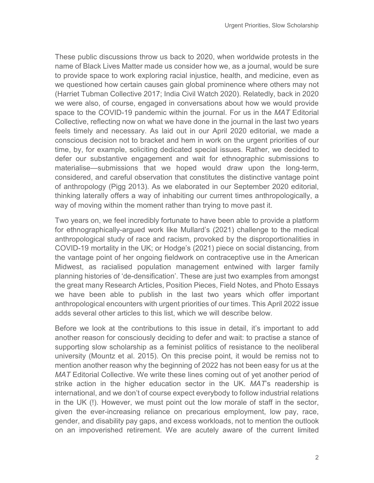These public discussions throw us back to 2020, when worldwide protests in the name of Black Lives Matter made us consider how we, as a journal, would be sure to provide space to work exploring racial injustice, health, and medicine, even as we questioned how certain causes gain global prominence where others may not (Harriet Tubman Collective 2017; India Civil Watch 2020). Relatedly, back in 2020 we were also, of course, engaged in conversations about how we would provide space to the COVID-19 pandemic within the journal. For us in the *MAT* Editorial Collective, reflecting now on what we have done in the journal in the last two years feels timely and necessary. As laid out in our April 2020 editorial, we made a conscious decision not to bracket and hem in work on the urgent priorities of our time, by, for example, soliciting dedicated special issues. Rather, we decided to defer our substantive engagement and wait for ethnographic submissions to materialise—submissions that we hoped would draw upon the long-term, considered, and careful observation that constitutes the distinctive vantage point of anthropology (Pigg 2013). As we elaborated in our September 2020 editorial, thinking laterally offers a way of inhabiting our current times anthropologically, a way of moving within the moment rather than trying to move past it.

Two years on, we feel incredibly fortunate to have been able to provide a platform for ethnographically-argued work like Mullard's (2021) challenge to the medical anthropological study of race and racism, provoked by the disproportionalities in COVID-19 mortality in the UK; or Hodge's (2021) piece on social distancing, from the vantage point of her ongoing fieldwork on contraceptive use in the American Midwest, as racialised population management entwined with larger family planning histories of 'de-densification'. These are just two examples from amongst the great many Research Articles, Position Pieces, Field Notes, and Photo Essays we have been able to publish in the last two years which offer important anthropological encounters with urgent priorities of our times. This April 2022 issue adds several other articles to this list, which we will describe below.

Before we look at the contributions to this issue in detail, it's important to add another reason for consciously deciding to defer and wait: to practise a stance of supporting slow scholarship as a feminist politics of resistance to the neoliberal university (Mountz et al. 2015). On this precise point, it would be remiss not to mention another reason why the beginning of 2022 has not been easy for us at the *MAT* Editorial Collective. We write these lines coming out of yet another period of strike action in the higher education sector in the UK. *MAT*'s readership is international, and we don't of course expect everybody to follow industrial relations in the UK (!). However, we must point out the low morale of staff in the sector, given the ever-increasing reliance on precarious employment, low pay, race, gender, and disability pay gaps, and excess workloads, not to mention the outlook on an impoverished retirement. We are acutely aware of the current limited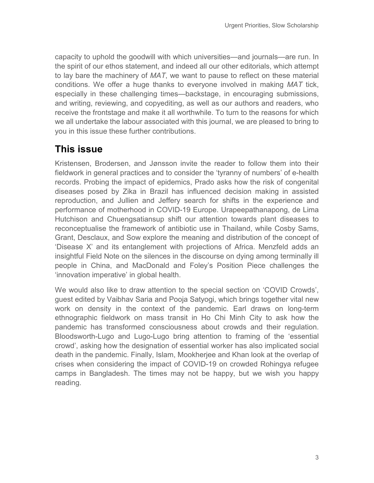capacity to uphold the goodwill with which universities—and journals—are run. In the spirit of our ethos statement, and indeed all our other editorials, which attempt to lay bare the machinery of *MAT*, we want to pause to reflect on these material conditions. We offer a huge thanks to everyone involved in making *MAT* tick, especially in these challenging times—backstage, in encouraging submissions, and writing, reviewing, and copyediting, as well as our authors and readers, who receive the frontstage and make it all worthwhile. To turn to the reasons for which we all undertake the labour associated with this journal, we are pleased to bring to you in this issue these further contributions.

## **This issue**

Kristensen, Brodersen, and Jønsson invite the reader to follow them into their fieldwork in general practices and to consider the 'tyranny of numbers' of e-health records. Probing the impact of epidemics, Prado asks how the risk of congenital diseases posed by Zika in Brazil has influenced decision making in assisted reproduction, and Jullien and Jeffery search for shifts in the experience and performance of motherhood in COVID-19 Europe. Urapeepathanapong, de Lima Hutchison and Chuengsatiansup shift our attention towards plant diseases to reconceptualise the framework of antibiotic use in Thailand, while Cosby Sams, Grant, Desclaux, and Sow explore the meaning and distribution of the concept of 'Disease X' and its entanglement with projections of Africa. Menzfeld adds an insightful Field Note on the silences in the discourse on dying among terminally ill people in China, and MacDonald and Foley's Position Piece challenges the 'innovation imperative' in global health.

We would also like to draw attention to the special section on 'COVID Crowds', guest edited by Vaibhav Saria and Pooja Satyogi, which brings together vital new work on density in the context of the pandemic. Earl draws on long-term ethnographic fieldwork on mass transit in Ho Chi Minh City to ask how the pandemic has transformed consciousness about crowds and their regulation. Bloodsworth-Lugo and Lugo-Lugo bring attention to framing of the 'essential crowd', asking how the designation of essential worker has also implicated social death in the pandemic. Finally, Islam, Mookherjee and Khan look at the overlap of crises when considering the impact of COVID-19 on crowded Rohingya refugee camps in Bangladesh. The times may not be happy, but we wish you happy reading.